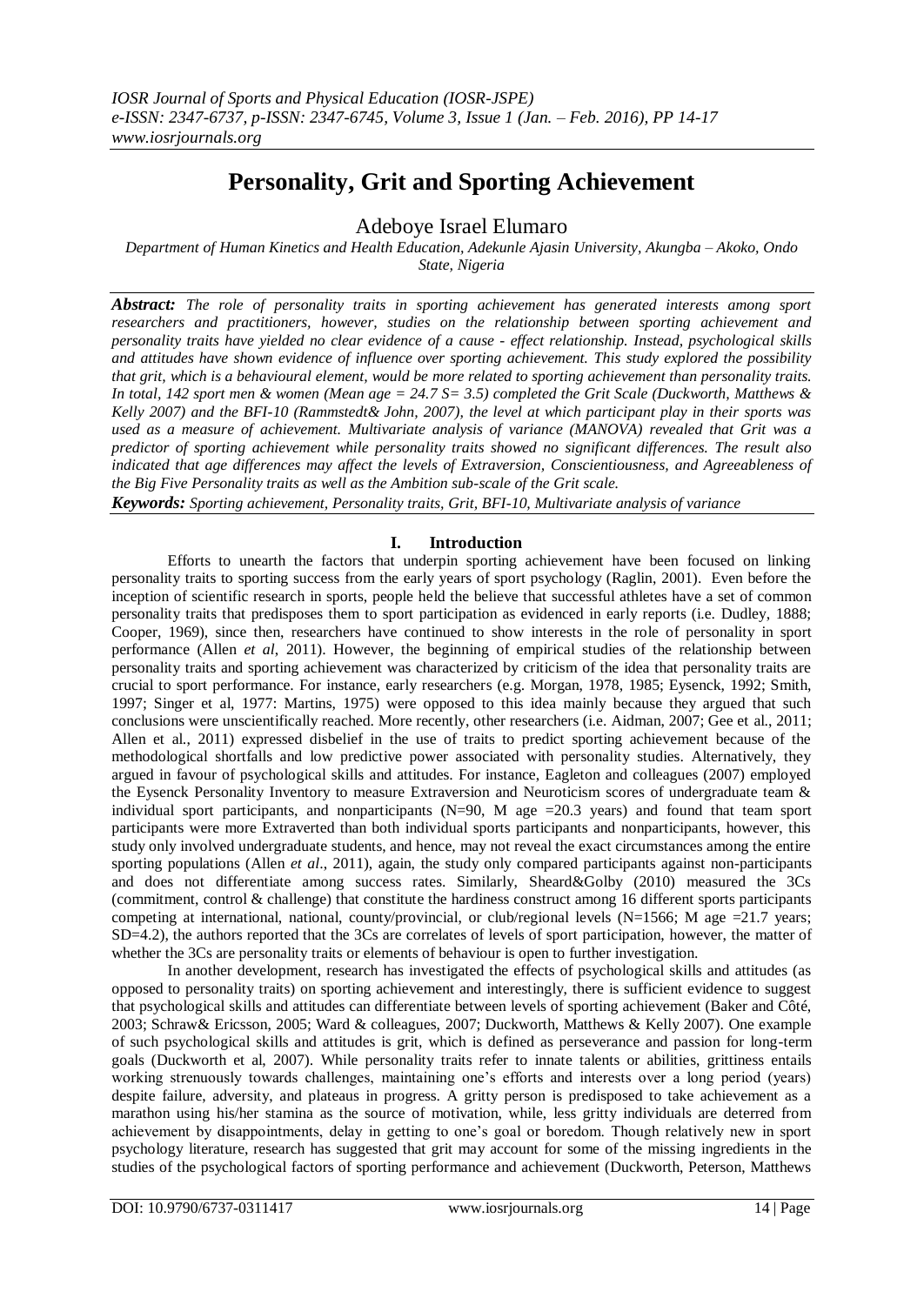# **Personality, Grit and Sporting Achievement**

Adeboye Israel Elumaro

*Department of Human Kinetics and Health Education, Adekunle Ajasin University, Akungba – Akoko, Ondo State, Nigeria*

*Abstract: The role of personality traits in sporting achievement has generated interests among sport researchers and practitioners, however, studies on the relationship between sporting achievement and personality traits have yielded no clear evidence of a cause - effect relationship. Instead, psychological skills and attitudes have shown evidence of influence over sporting achievement. This study explored the possibility that grit, which is a behavioural element, would be more related to sporting achievement than personality traits. In total, 142 sport men & women (Mean age = 24.7 S= 3.5) completed the Grit Scale (Duckworth, Matthews & Kelly 2007) and the BFI-10 (Rammstedt& John, 2007), the level at which participant play in their sports was used as a measure of achievement. Multivariate analysis of variance (MANOVA) revealed that Grit was a predictor of sporting achievement while personality traits showed no significant differences. The result also indicated that age differences may affect the levels of Extraversion, Conscientiousness, and Agreeableness of the Big Five Personality traits as well as the Ambition sub-scale of the Grit scale.* 

*Keywords: Sporting achievement, Personality traits, Grit, BFI-10, Multivariate analysis of variance*

### **I. Introduction**

Efforts to unearth the factors that underpin sporting achievement have been focused on linking personality traits to sporting success from the early years of sport psychology (Raglin, 2001). Even before the inception of scientific research in sports, people held the believe that successful athletes have a set of common personality traits that predisposes them to sport participation as evidenced in early reports (i.e. Dudley, 1888; Cooper, 1969), since then, researchers have continued to show interests in the role of personality in sport performance (Allen *et al*, 2011). However, the beginning of empirical studies of the relationship between personality traits and sporting achievement was characterized by criticism of the idea that personality traits are crucial to sport performance. For instance, early researchers (e.g. Morgan, 1978, 1985; Eysenck, 1992; Smith, 1997; Singer et al, 1977: Martins, 1975) were opposed to this idea mainly because they argued that such conclusions were unscientifically reached. More recently, other researchers (i.e. Aidman, 2007; Gee et al., 2011; Allen et al., 2011) expressed disbelief in the use of traits to predict sporting achievement because of the methodological shortfalls and low predictive power associated with personality studies. Alternatively, they argued in favour of psychological skills and attitudes. For instance, Eagleton and colleagues (2007) employed the Eysenck Personality Inventory to measure Extraversion and Neuroticism scores of undergraduate team & individual sport participants, and nonparticipants (N=90, M age =20.3 years) and found that team sport participants were more Extraverted than both individual sports participants and nonparticipants, however, this study only involved undergraduate students, and hence, may not reveal the exact circumstances among the entire sporting populations (Allen *et al*., 2011), again, the study only compared participants against non-participants and does not differentiate among success rates. Similarly, Sheard&Golby (2010) measured the 3Cs (commitment, control & challenge) that constitute the hardiness construct among 16 different sports participants competing at international, national, county/provincial, or club/regional levels ( $N=1566$ ; M age  $=21.7$  years; SD=4.2), the authors reported that the 3Cs are correlates of levels of sport participation, however, the matter of whether the 3Cs are personality traits or elements of behaviour is open to further investigation.

In another development, research has investigated the effects of psychological skills and attitudes (as opposed to personality traits) on sporting achievement and interestingly, there is sufficient evidence to suggest that psychological skills and attitudes can differentiate between levels of sporting achievement (Baker and Côté, 2003; Schraw& Ericsson, 2005; Ward & colleagues, 2007; Duckworth, Matthews & Kelly 2007). One example of such psychological skills and attitudes is grit, which is defined as perseverance and passion for long-term goals (Duckworth et al, 2007). While personality traits refer to innate talents or abilities, grittiness entails working strenuously towards challenges, maintaining one's efforts and interests over a long period (years) despite failure, adversity, and plateaus in progress. A gritty person is predisposed to take achievement as a marathon using his/her stamina as the source of motivation, while, less gritty individuals are deterred from achievement by disappointments, delay in getting to one's goal or boredom. Though relatively new in sport psychology literature, research has suggested that grit may account for some of the missing ingredients in the studies of the psychological factors of sporting performance and achievement (Duckworth, Peterson, Matthews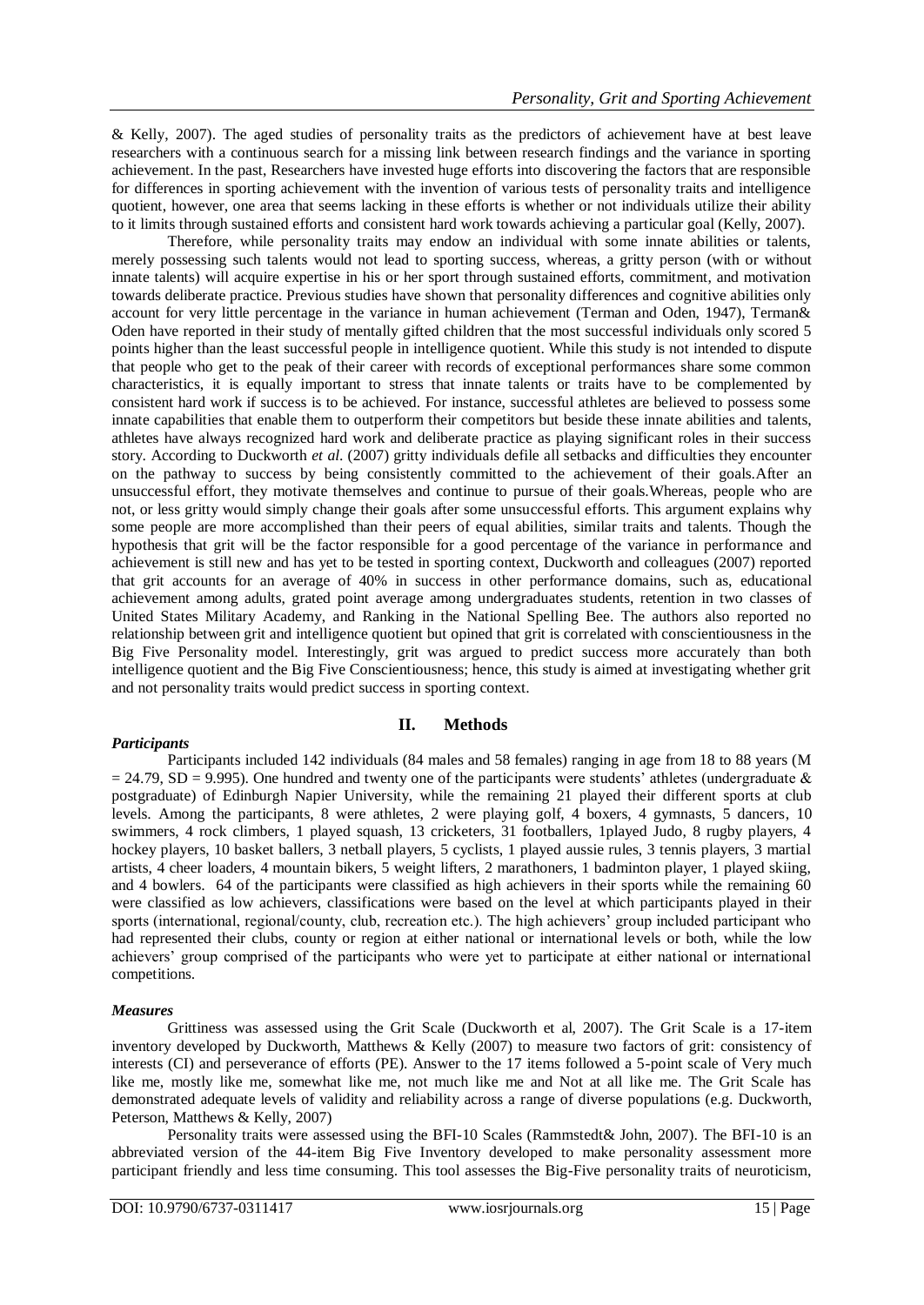& Kelly, 2007). The aged studies of personality traits as the predictors of achievement have at best leave researchers with a continuous search for a missing link between research findings and the variance in sporting achievement. In the past, Researchers have invested huge efforts into discovering the factors that are responsible for differences in sporting achievement with the invention of various tests of personality traits and intelligence quotient, however, one area that seems lacking in these efforts is whether or not individuals utilize their ability to it limits through sustained efforts and consistent hard work towards achieving a particular goal (Kelly, 2007).

Therefore, while personality traits may endow an individual with some innate abilities or talents, merely possessing such talents would not lead to sporting success, whereas, a gritty person (with or without innate talents) will acquire expertise in his or her sport through sustained efforts, commitment, and motivation towards deliberate practice. Previous studies have shown that personality differences and cognitive abilities only account for very little percentage in the variance in human achievement (Terman and Oden, 1947), Terman& Oden have reported in their study of mentally gifted children that the most successful individuals only scored 5 points higher than the least successful people in intelligence quotient. While this study is not intended to dispute that people who get to the peak of their career with records of exceptional performances share some common characteristics, it is equally important to stress that innate talents or traits have to be complemented by consistent hard work if success is to be achieved. For instance, successful athletes are believed to possess some innate capabilities that enable them to outperform their competitors but beside these innate abilities and talents, athletes have always recognized hard work and deliberate practice as playing significant roles in their success story. According to Duckworth *et al*. (2007) gritty individuals defile all setbacks and difficulties they encounter on the pathway to success by being consistently committed to the achievement of their goals.After an unsuccessful effort, they motivate themselves and continue to pursue of their goals.Whereas, people who are not, or less gritty would simply change their goals after some unsuccessful efforts. This argument explains why some people are more accomplished than their peers of equal abilities, similar traits and talents. Though the hypothesis that grit will be the factor responsible for a good percentage of the variance in performance and achievement is still new and has yet to be tested in sporting context, Duckworth and colleagues (2007) reported that grit accounts for an average of 40% in success in other performance domains, such as, educational achievement among adults, grated point average among undergraduates students, retention in two classes of United States Military Academy, and Ranking in the National Spelling Bee. The authors also reported no relationship between grit and intelligence quotient but opined that grit is correlated with conscientiousness in the Big Five Personality model. Interestingly, grit was argued to predict success more accurately than both intelligence quotient and the Big Five Conscientiousness; hence, this study is aimed at investigating whether grit and not personality traits would predict success in sporting context.

## *Participants*

## **II. Methods**

Participants included 142 individuals (84 males and 58 females) ranging in age from 18 to 88 years (M  $= 24.79$ , SD = 9.995). One hundred and twenty one of the participants were students' athletes (undergraduate  $\&$ postgraduate) of Edinburgh Napier University, while the remaining 21 played their different sports at club levels. Among the participants, 8 were athletes, 2 were playing golf, 4 boxers, 4 gymnasts, 5 dancers, 10 swimmers, 4 rock climbers, 1 played squash, 13 cricketers, 31 footballers, 1played Judo, 8 rugby players, 4 hockey players, 10 basket ballers, 3 netball players, 5 cyclists, 1 played aussie rules, 3 tennis players, 3 martial artists, 4 cheer loaders, 4 mountain bikers, 5 weight lifters, 2 marathoners, 1 badminton player, 1 played skiing, and 4 bowlers. 64 of the participants were classified as high achievers in their sports while the remaining 60 were classified as low achievers, classifications were based on the level at which participants played in their sports (international, regional/county, club, recreation etc.). The high achievers' group included participant who had represented their clubs, county or region at either national or international levels or both, while the low achievers' group comprised of the participants who were yet to participate at either national or international competitions.

#### *Measures*

Grittiness was assessed using the Grit Scale (Duckworth et al, 2007). The Grit Scale is a 17-item inventory developed by Duckworth, Matthews & Kelly (2007) to measure two factors of grit: consistency of interests (CI) and perseverance of efforts (PE). Answer to the 17 items followed a 5-point scale of Very much like me, mostly like me, somewhat like me, not much like me and Not at all like me. The Grit Scale has demonstrated adequate levels of validity and reliability across a range of diverse populations (e.g. Duckworth, Peterson, Matthews & Kelly, 2007)

Personality traits were assessed using the BFI-10 Scales (Rammstedt& John, 2007). The BFI-10 is an abbreviated version of the 44-item Big Five Inventory developed to make personality assessment more participant friendly and less time consuming. This tool assesses the Big-Five personality traits of neuroticism,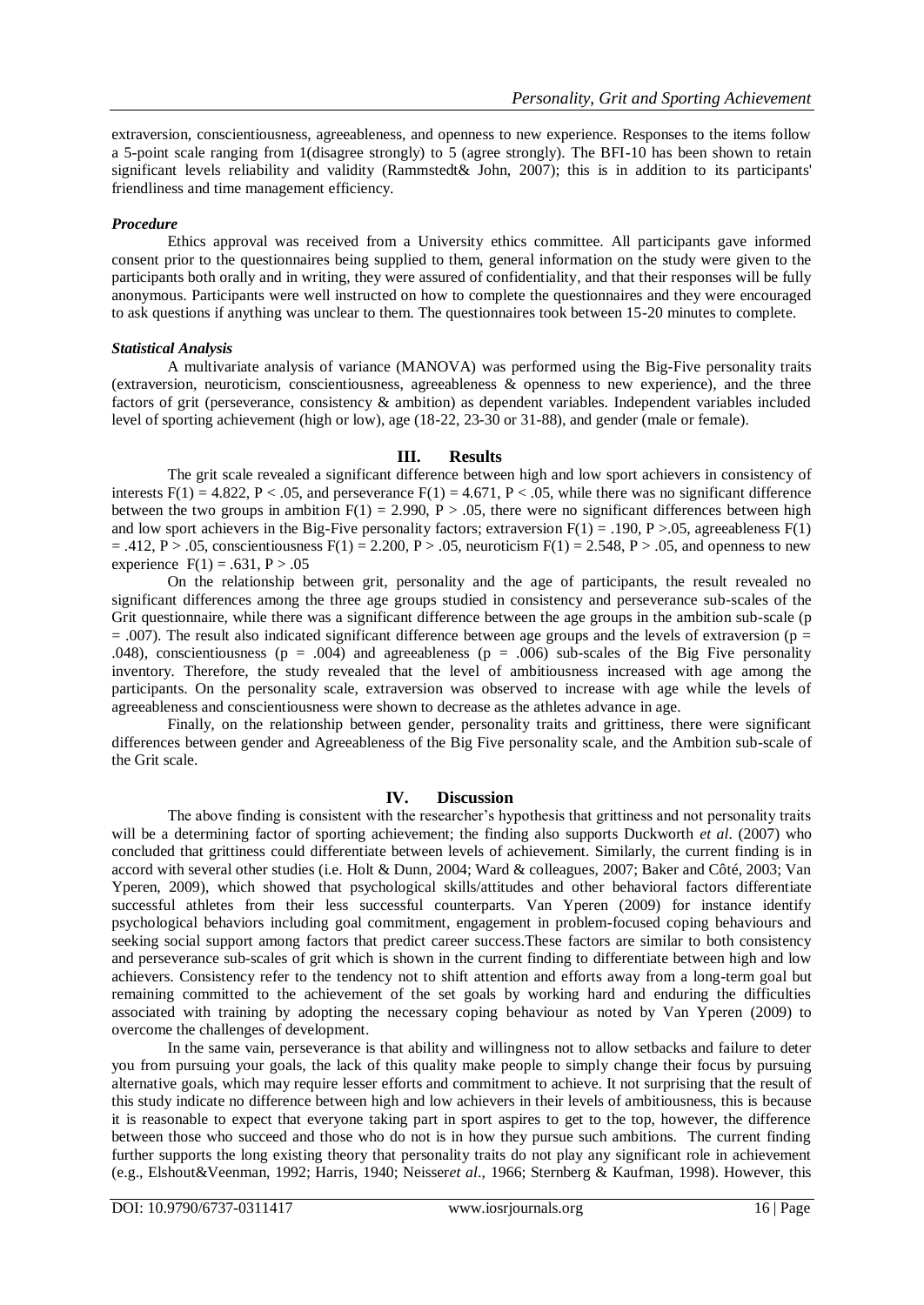extraversion, conscientiousness, agreeableness, and openness to new experience. Responses to the items follow a 5-point scale ranging from 1(disagree strongly) to 5 (agree strongly). The BFI-10 has been shown to retain significant levels reliability and validity (Rammstedt& John, 2007); this is in addition to its participants' friendliness and time management efficiency.

#### *Procedure*

Ethics approval was received from a University ethics committee. All participants gave informed consent prior to the questionnaires being supplied to them, general information on the study were given to the participants both orally and in writing, they were assured of confidentiality, and that their responses will be fully anonymous. Participants were well instructed on how to complete the questionnaires and they were encouraged to ask questions if anything was unclear to them. The questionnaires took between 15-20 minutes to complete.

#### *Statistical Analysis*

A multivariate analysis of variance (MANOVA) was performed using the Big-Five personality traits (extraversion, neuroticism, conscientiousness, agreeableness & openness to new experience), and the three factors of grit (perseverance, consistency & ambition) as dependent variables. Independent variables included level of sporting achievement (high or low), age (18-22, 23-30 or 31-88), and gender (male or female).

#### **III. Results**

The grit scale revealed a significant difference between high and low sport achievers in consistency of interests  $F(1) = 4.822$ ,  $P < .05$ , and perseverance  $F(1) = 4.671$ ,  $P < .05$ , while there was no significant difference between the two groups in ambition  $F(1) = 2.990$ ,  $P > .05$ , there were no significant differences between high and low sport achievers in the Big-Five personality factors; extraversion  $F(1) = .190$ ,  $P > .05$ , agreeableness  $F(1)$  $= .412$ , P > .05, conscientiousness F(1) = 2.200, P > .05, neuroticism F(1) = 2.548, P > .05, and openness to new experience  $F(1) = .631, P > .05$ 

On the relationship between grit, personality and the age of participants, the result revealed no significant differences among the three age groups studied in consistency and perseverance sub-scales of the Grit questionnaire, while there was a significant difference between the age groups in the ambition sub-scale (p  $= .007$ ). The result also indicated significant difference between age groups and the levels of extraversion (p  $=$ .048), conscientiousness ( $p = .004$ ) and agreeableness ( $p = .006$ ) sub-scales of the Big Five personality inventory. Therefore, the study revealed that the level of ambitiousness increased with age among the participants. On the personality scale, extraversion was observed to increase with age while the levels of agreeableness and conscientiousness were shown to decrease as the athletes advance in age.

Finally*,* on the relationship between gender, personality traits and grittiness, there were significant differences between gender and Agreeableness of the Big Five personality scale, and the Ambition sub-scale of the Grit scale.

## **IV. Discussion**

The above finding is consistent with the researcher's hypothesis that grittiness and not personality traits will be a determining factor of sporting achievement; the finding also supports Duckworth *et al*. (2007) who concluded that grittiness could differentiate between levels of achievement. Similarly, the current finding is in accord with several other studies (i.e. Holt & Dunn, 2004; Ward & colleagues, 2007; Baker and Côté, 2003; Van Yperen, 2009), which showed that psychological skills/attitudes and other behavioral factors differentiate successful athletes from their less successful counterparts. Van Yperen (2009) for instance identify psychological behaviors including goal commitment, engagement in problem-focused coping behaviours and seeking social support among factors that predict career success. These factors are similar to both consistency and perseverance sub-scales of grit which is shown in the current finding to differentiate between high and low achievers. Consistency refer to the tendency not to shift attention and efforts away from a long-term goal but remaining committed to the achievement of the set goals by working hard and enduring the difficulties associated with training by adopting the necessary coping behaviour as noted by Van Yperen (2009) to overcome the challenges of development.

In the same vain, perseverance is that ability and willingness not to allow setbacks and failure to deter you from pursuing your goals, the lack of this quality make people to simply change their focus by pursuing alternative goals, which may require lesser efforts and commitment to achieve. It not surprising that the result of this study indicate no difference between high and low achievers in their levels of ambitiousness, this is because it is reasonable to expect that everyone taking part in sport aspires to get to the top, however, the difference between those who succeed and those who do not is in how they pursue such ambitions. The current finding further supports the long existing theory that personality traits do not play any significant role in achievement (e.g., Elshout&Veenman, 1992; Harris, 1940; Neisser*et al*., 1966; Sternberg & Kaufman, 1998). However, this